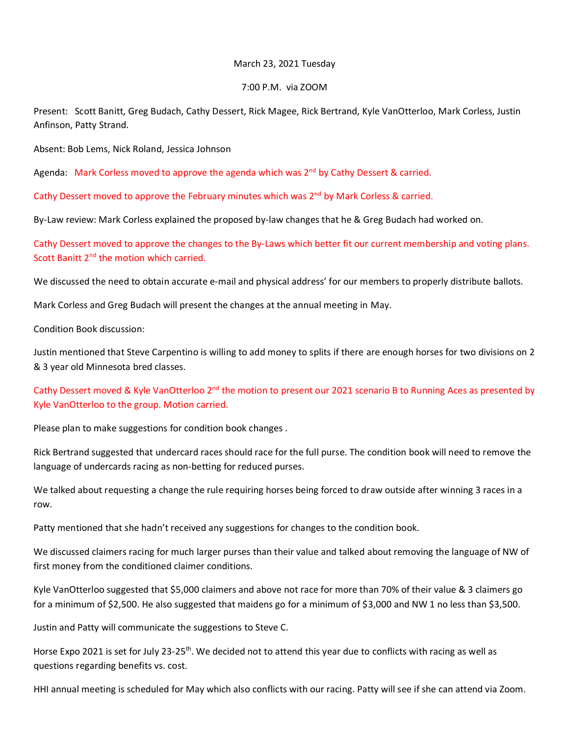## March 23, 2021 Tuesday

## 7:00 P.M. via ZOOM

Present: Scott Banitt, Greg Budach, Cathy Dessert, Rick Magee, Rick Bertrand, Kyle VanOtterloo, Mark Corless, Justin Anfinson, Patty Strand.

Absent: Bob Lems, Nick Roland, Jessica Johnson

Agenda: Mark Corless moved to approve the agenda which was 2<sup>nd</sup> by Cathy Dessert & carried.

Cathy Dessert moved to approve the February minutes which was  $2<sup>nd</sup>$  by Mark Corless & carried.

By-Law review: Mark Corless explained the proposed by-law changes that he & Greg Budach had worked on.

Cathy Dessert moved to approve the changes to the By-Laws which better fit our current membership and voting plans. Scott Banitt 2<sup>nd</sup> the motion which carried.

We discussed the need to obtain accurate e-mail and physical address' for our members to properly distribute ballots.

Mark Corless and Greg Budach will present the changes at the annual meeting in May.

Condition Book discussion:

Justin mentioned that Steve Carpentino is willing to add money to splits if there are enough horses for two divisions on 2 & 3 year old Minnesota bred classes.

Cathy Dessert moved & Kyle VanOtterloo 2<sup>nd</sup> the motion to present our 2021 scenario B to Running Aces as presented by Kyle VanOtterloo to the group. Motion carried.

Please plan to make suggestions for condition book changes .

Rick Bertrand suggested that undercard races should race for the full purse. The condition book will need to remove the language of undercards racing as non-betting for reduced purses.

We talked about requesting a change the rule requiring horses being forced to draw outside after winning 3 races in a row.

Patty mentioned that she hadn't received any suggestions for changes to the condition book.

We discussed claimers racing for much larger purses than their value and talked about removing the language of NW of first money from the conditioned claimer conditions.

Kyle VanOtterloo suggested that \$5,000 claimers and above not race for more than 70% of their value & 3 claimers go for a minimum of \$2,500. He also suggested that maidens go for a minimum of \$3,000 and NW 1 no less than \$3,500.

Justin and Patty will communicate the suggestions to Steve C.

Horse Expo 2021 is set for July 23-25<sup>th</sup>. We decided not to attend this year due to conflicts with racing as well as questions regarding benefits vs. cost.

HHI annual meeting is scheduled for May which also conflicts with our racing. Patty will see if she can attend via Zoom.